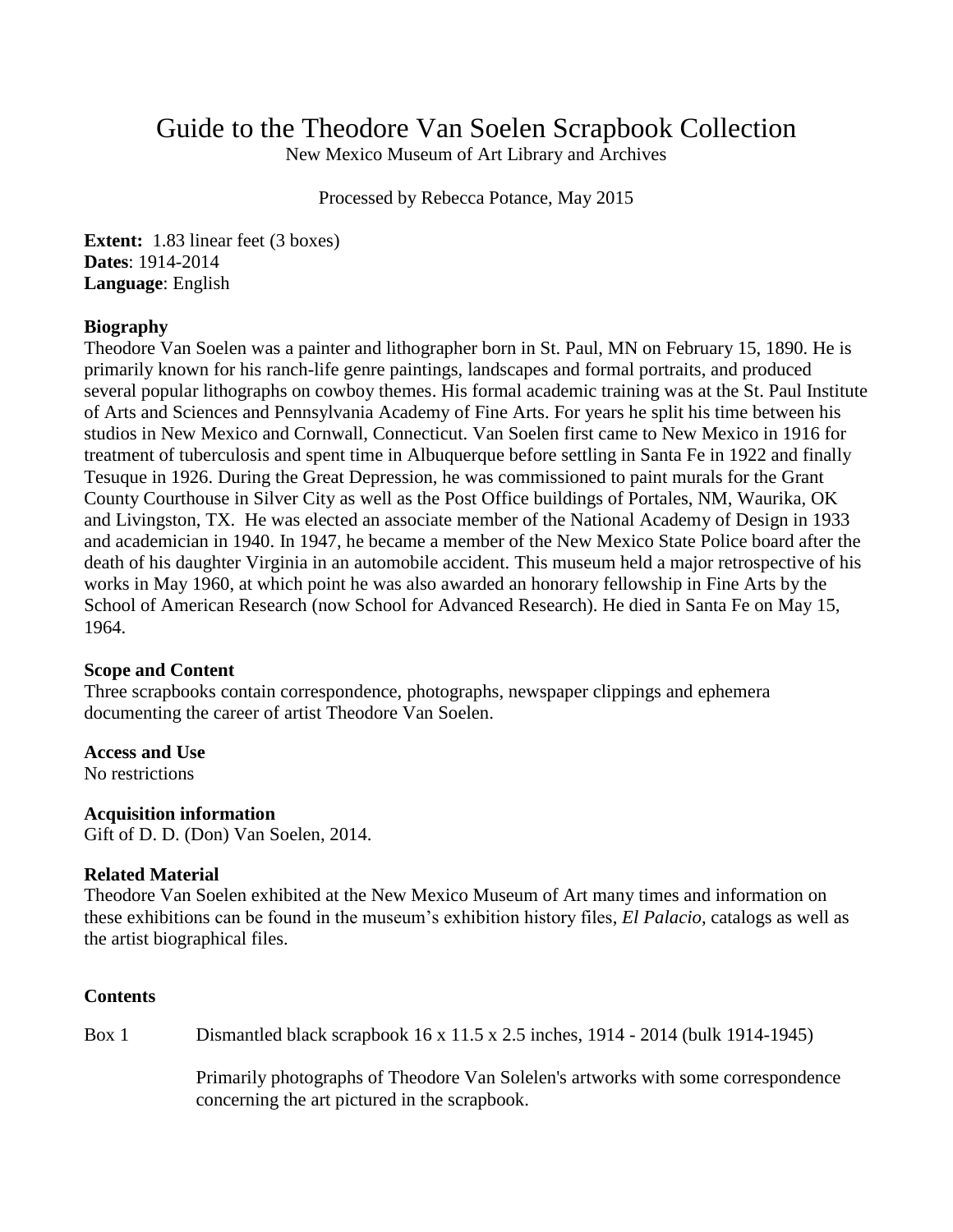# Guide to the Theodore Van Soelen Scrapbook Collection

New Mexico Museum of Art Library and Archives

Processed by Rebecca Potance, May 2015

**Extent:** 1.83 linear feet (3 boxes) **Dates**: 1914-2014 **Language**: English

### **Biography**

Theodore Van Soelen was a painter and lithographer born in St. Paul, MN on February 15, 1890. He is primarily known for his ranch-life genre paintings, landscapes and formal portraits, and produced several popular lithographs on cowboy themes. His formal academic training was at the St. Paul Institute of Arts and Sciences and Pennsylvania Academy of Fine Arts. For years he split his time between his studios in New Mexico and Cornwall, Connecticut. Van Soelen first came to New Mexico in 1916 for treatment of tuberculosis and spent time in Albuquerque before settling in Santa Fe in 1922 and finally Tesuque in 1926. During the Great Depression, he was commissioned to paint murals for the Grant County Courthouse in Silver City as well as the Post Office buildings of Portales, NM, Waurika, OK and Livingston, TX. He was elected an associate member of the National Academy of Design in 1933 and academician in 1940. In 1947, he became a member of the New Mexico State Police board after the death of his daughter Virginia in an automobile accident. This museum held a major retrospective of his works in May 1960, at which point he was also awarded an honorary fellowship in Fine Arts by the School of American Research (now School for Advanced Research). He died in Santa Fe on May 15, 1964.

### **Scope and Content**

Three scrapbooks contain correspondence, photographs, newspaper clippings and ephemera documenting the career of artist Theodore Van Soelen.

### **Access and Use**

No restrictions

# **Acquisition information**

Gift of D. D. (Don) Van Soelen, 2014.

### **Related Material**

Theodore Van Soelen exhibited at the New Mexico Museum of Art many times and information on these exhibitions can be found in the museum's exhibition history files, *El Palacio*, catalogs as well as the artist biographical files.

# **Contents**

Box 1 Dismantled black scrapbook 16 x 11.5 x 2.5 inches, 1914 - 2014 (bulk 1914-1945)

Primarily photographs of Theodore Van Solelen's artworks with some correspondence concerning the art pictured in the scrapbook.